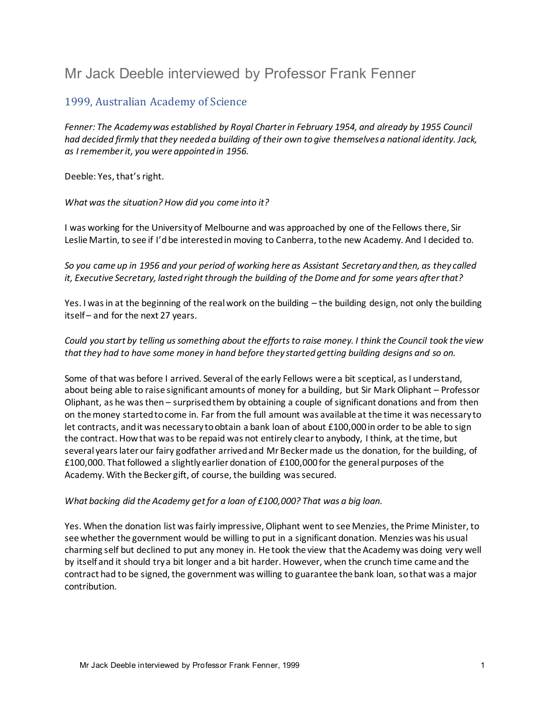# Mr Jack Deeble interviewed by Professor Frank Fenner

# 1999, Australian Academy of Science

*Fenner: The Academy was established by Royal Charter in February 1954, and already by 1955 Council had decided firmly that they needed a building of their own to give themselves a national identity. Jack, as I remember it, you were appointed in 1956.* 

Deeble: Yes, that's right.

*What was the situation? How did you come into it?* 

I was working for the University of Melbourne and was approached by one of the Fellows there, Sir Leslie Martin, to see if I'd be interested in moving to Canberra, to the new Academy. And I decided to.

*So you came up in 1956 and your period of working here as Assistant Secretary and then, as they called it, Executive Secretary, lasted right through the building of the Dome and for some years after that?* 

Yes. I was in at the beginning of the real work on the building – the building design, not only the building itself – and for the next 27 years.

*Could you start by telling us something about the efforts to raise money. I think the Council took the view that they had to have some money in hand before they started getting building designs and so on.* 

Some of that was before I arrived. Several of the early Fellows were a bit sceptical, as I understand, about being able to raise significant amounts of money for a building, but Sir Mark Oliphant – Professor Oliphant, as he was then – surprised them by obtaining a couple of significant donations and from then on the money started to come in. Far from the full amount was available at the time it was necessary to let contracts, and it was necessary to obtain a bank loan of about £100,000 in order to be able to sign the contract. How that was to be repaid was not entirely clear to anybody, I think, at the time, but several years later our fairy godfather arrived and Mr Becker made us the donation, for the building, of £100,000. That followed a slightly earlier donation of £100,000 for the general purposes of the Academy. With the Becker gift, of course, the building was secured.

#### *What backing did the Academy get for a loan of £100,000? That was a big loan.*

Yes. When the donation list was fairly impressive, Oliphant went to see Menzies, the Prime Minister, to see whether the government would be willing to put in a significant donation. Menzies was his usual charming self but declined to put any money in. He took the view that the Academy was doing very well by itself and it should try a bit longer and a bit harder. However, when the crunch time came and the contract had to be signed, the government was willing to guarantee the bank loan, so that was a major contribution.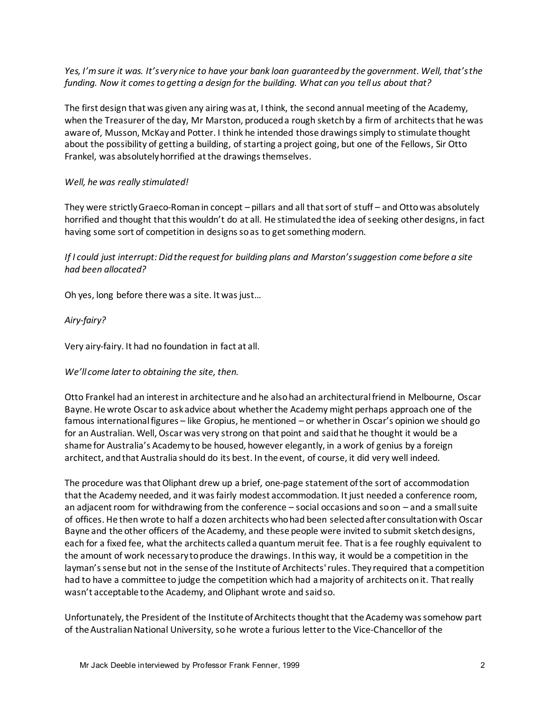*Yes, I'm sure it was. It's very nice to have your bank loan guaranteed by the government. Well, that's the funding. Now it comes to getting a design for the building. What can you tell us about that?* 

The first design that was given any airing was at, I think, the second annual meeting of the Academy, when the Treasurer of the day, Mr Marston, produced a rough sketch by a firm of architects that he was aware of, Musson, McKay and Potter. I think he intended those drawings simply to stimulate thought about the possibility of getting a building, of starting a project going, but one of the Fellows, Sir Otto Frankel, was absolutely horrified at the drawings themselves.

#### *Well, he was really stimulated!*

They were strictly Graeco-Roman in concept – pillars and all that sort of stuff – and Otto was absolutely horrified and thought that this wouldn't do at all. He stimulated the idea of seeking other designs, in fact having some sort of competition in designs so as to get something modern.

*If I could just interrupt: Did the request for building plans and Marston's suggestion come before a site had been allocated?* 

Oh yes, long before there was a site. It was just…

# *Airy-fairy?*

Very airy-fairy. It had no foundation in fact at all.

# *We'll come later to obtaining the site, then.*

Otto Frankel had an interest in architecture and he also had an architectural friend in Melbourne, Oscar Bayne. He wrote Oscar to ask advice about whether the Academy might perhaps approach one of the famous international figures – like Gropius, he mentioned – or whether in Oscar's opinion we should go for an Australian. Well, Oscar was very strong on that point and said that he thought it would be a shame for Australia's Academy to be housed, however elegantly, in a work of genius by a foreign architect, and that Australia should do its best. In the event, of course, it did very well indeed.

The procedure was that Oliphant drew up a brief, one-page statement of the sort of accommodation that the Academy needed, and it was fairly modest accommodation. It just needed a conference room, an adjacent room for withdrawing from the conference – social occasions and so on – and a small suite of offices. He then wrote to half a dozen architects who had been selected after consultation with Oscar Bayne and the other officers of the Academy, and these people were invited to submit sketch designs, each for a fixed fee, what the architects called a quantum meruit fee. That is a fee roughly equivalent to the amount of work necessary to produce the drawings. Inthis way, it would be a competition in the layman's sense but not in the sense of the Institute of Architects' rules. They required that a competition had to have a committee to judge the competition which had a majority of architects on it. That really wasn't acceptable to the Academy, and Oliphant wrote and said so.

Unfortunately, the President of the Institute of Architects thought that the Academy was somehow part of the Australian National University, so he wrote a furious letter to the Vice-Chancellor of the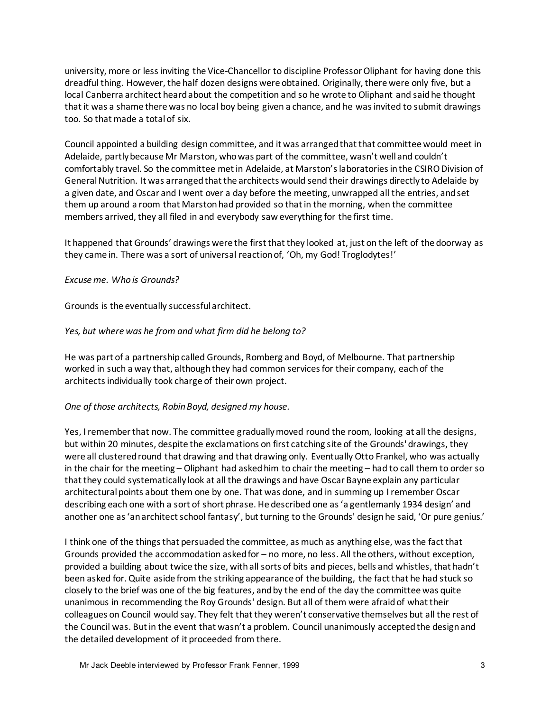university, more or less inviting the Vice-Chancellor to discipline Professor Oliphant for having done this dreadful thing. However, the half dozen designs were obtained. Originally, there were only five, but a local Canberra architect heard about the competition and so he wrote to Oliphant and said he thought that it was a shame there was no local boy being given a chance, and he was invited to submit drawings too. So that made a total of six.

Council appointed a building design committee, and it was arranged that that committee would meet in Adelaide, partly because Mr Marston, who was part of the committee, wasn't well and couldn't comfortably travel. So the committee met in Adelaide, at Marston's laboratories in the CSIRO Division of General Nutrition. It was arranged that the architects would send their drawings directly to Adelaide by a given date, and Oscar and I went over a day before the meeting, unwrapped all the entries, and set them up around a room that Marston had provided so that in the morning, when the committee members arrived, they all filed in and everybody saw everything for the first time.

It happened that Grounds' drawings were the first that they looked at, just on the left of the doorway as they came in. There was a sort of universal reaction of, 'Oh, my God! Troglodytes!'

#### *Excuse me. Who is Grounds?*

Grounds is the eventually successful architect.

#### *Yes, but where was he from and what firm did he belong to?*

He was part of a partnership called Grounds, Romberg and Boyd, of Melbourne. That partnership worked in such a way that, although they had common services for their company, each of the architects individually took charge of their own project.

#### *One of those architects, Robin Boyd, designed my house.*

Yes, I remember that now. The committee gradually moved round the room, looking at all the designs, but within 20 minutes, despite the exclamations on first catching site of the Grounds' drawings, they were all clustered round that drawing and that drawing only. Eventually Otto Frankel, who was actually in the chair for the meeting – Oliphant had asked him to chair the meeting – had to call them to order so that they could systematically look at all the drawings and have Oscar Bayne explain any particular architectural points about them one by one. That was done, and in summing up I remember Oscar describing each one with a sort of short phrase. He described one as 'a gentlemanly 1934 design' and another one as 'an architect school fantasy', but turning to the Grounds' design he said, 'Or pure genius.'

I think one of the things that persuaded the committee, as much as anything else, was the fact that Grounds provided the accommodation asked for – no more, no less. All the others, without exception, provided a building about twice the size, with all sorts of bits and pieces, bells and whistles, that hadn't been asked for. Quite aside from the striking appearance of the building, the fact that he had stuck so closely to the brief was one of the big features, and by the end of the day the committee was quite unanimous in recommending the Roy Grounds' design. But all of them were afraid of what their colleagues on Council would say. They felt that they weren't conservative themselves but all the rest of the Council was. But in the event that wasn't a problem. Council unanimously accepted the design and the detailed development of it proceeded from there.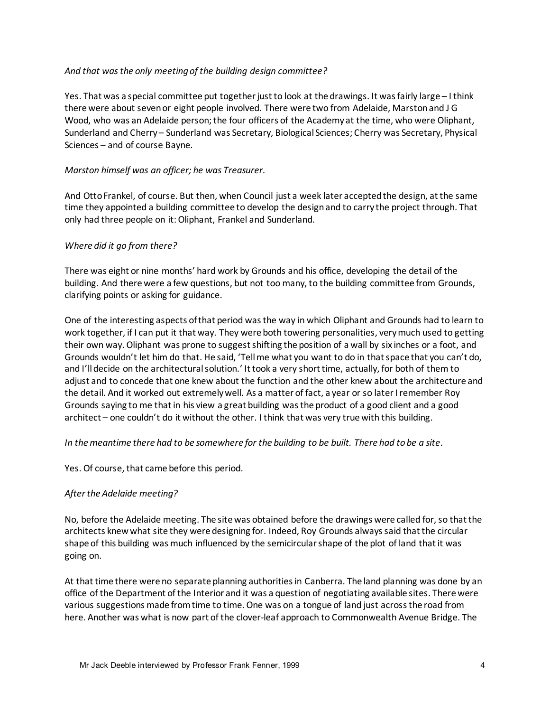#### *And that was the only meeting of the building design committee?*

Yes. That was a special committee put together just to look at the drawings. It was fairly large – I think there were about seven or eight people involved. There were two from Adelaide, Marston and J G Wood, who was an Adelaide person; the four officers of the Academy at the time, who were Oliphant, Sunderland and Cherry – Sunderland was Secretary, Biological Sciences; Cherry was Secretary, Physical Sciences – and of course Bayne.

#### *Marston himself was an officer; he was Treasurer.*

And Otto Frankel, of course. But then, when Council just a week later accepted the design, at the same time they appointed a building committee to develop the design and to carry the project through. That only had three people on it: Oliphant, Frankel and Sunderland.

#### *Where did it go from there?*

There was eight or nine months' hard work by Grounds and his office, developing the detail of the building. And there were a few questions, but not too many, to the building committee from Grounds, clarifying points or asking for guidance.

One of the interesting aspects of that period was the way in which Oliphant and Grounds had to learn to work together, if I can put it that way. They were both towering personalities, very much used to getting their own way. Oliphant was prone to suggest shifting the position of a wall by six inches or a foot, and Grounds wouldn't let him do that. He said, 'Tell me what you want to do in that space that you can't do, and I'll decide on the architectural solution.' It took a very short time, actually, for both of them to adjust and to concede that one knew about the function and the other knew about the architecture and the detail. And it worked out extremely well. As a matter of fact, a year or so later I remember Roy Grounds saying to me that in his view a great building was the product of a good client and a good architect – one couldn't do it without the other. I think that was very true with this building.

#### *In the meantime there had to be somewhere for the building to be built. There had to be a site*.

Yes. Of course, that came before this period.

#### *After the Adelaide meeting?*

No, before the Adelaide meeting. The site was obtained before the drawings were called for, so that the architects knew what site they were designing for. Indeed, Roy Grounds always said that the circular shape of this building was much influenced by the semicircular shape of the plot of land that it was going on.

At that time there were no separate planning authorities in Canberra. The land planning was done by an office of the Department of the Interior and it was a question of negotiating available sites. There were various suggestions made from time to time. One was on a tongue of land just across the road from here. Another was what is now part of the clover-leaf approach to Commonwealth Avenue Bridge. The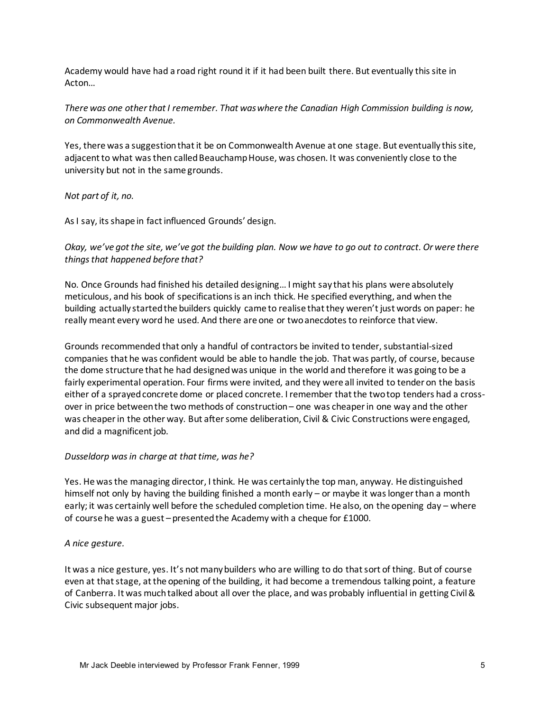Academy would have had a road right round it if it had been built there. But eventually this site in Acton…

*There was one other that I remember. That was where the Canadian High Commission building is now, on Commonwealth Avenue.* 

Yes, there was a suggestion that it be on Commonwealth Avenue at one stage. But eventually this site, adjacent to what was then called Beauchamp House, was chosen. It was conveniently close to the university but not in the same grounds.

*Not part of it, no.* 

As I say, its shape in fact influenced Grounds' design.

*Okay, we've got the site, we've got the building plan. Now we have to go out to contract. Or were there things that happened before that?* 

No. Once Grounds had finished his detailed designing…I might say that his plans were absolutely meticulous, and his book of specifications is an inch thick. He specified everything, and when the building actually started the builders quickly came to realise that they weren't just words on paper: he really meant every word he used. And there are one or two anecdotes to reinforce that view.

Grounds recommended that only a handful of contractors be invited to tender, substantial-sized companies that he was confident would be able to handle the job. That was partly, of course, because the dome structure that he had designed was unique in the world and therefore it was going to be a fairly experimental operation. Four firms were invited, and they were all invited to tender on the basis either of a sprayed concrete dome or placed concrete. I remember that the two top tenders had a crossover in price between the two methods of construction – one was cheaper in one way and the other was cheaper in the other way. But after some deliberation, Civil & Civic Constructions were engaged, and did a magnificent job.

#### *Dusseldorp was in charge at that time, was he?*

Yes. He was the managing director, I think. He was certainly the top man, anyway. He distinguished himself not only by having the building finished a month early – or maybe it was longer than a month early; it was certainly well before the scheduled completion time. He also, on the opening day – where of course he was a guest – presented the Academy with a cheque for £1000.

#### *A nice gesture.*

It was a nice gesture, yes. It's not many builders who are willing to do that sort of thing. But of course even at that stage, at the opening of the building, it had become a tremendous talking point, a feature of Canberra. It was much talked about all over the place, and was probably influential in getting Civil & Civic subsequent major jobs.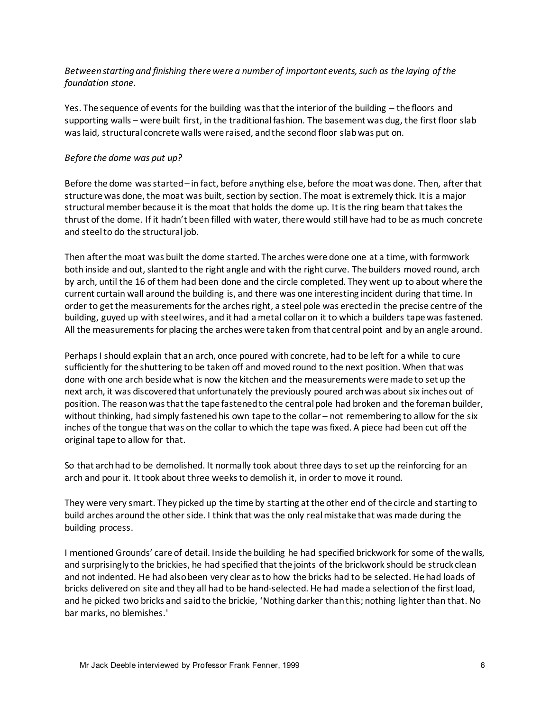#### *Between starting and finishing there were a number of important events, such as the laying of the foundation stone.*

Yes. The sequence of events for the building was that the interior of the building – the floors and supporting walls – were built first, in the traditional fashion. The basement was dug, the first floor slab was laid, structural concrete walls were raised, and the second floor slab was put on.

#### *Before the dome was put up?*

Before the dome was started – in fact, before anything else, before the moat was done. Then, after that structure was done, the moat was built, section by section. The moat is extremely thick. It is a major structural member because it is the moat that holds the dome up. It is the ring beam that takes the thrust of the dome. If it hadn't been filled with water, there would still have had to be as much concrete and steel to do the structural job.

Then after the moat was built the dome started. The arches were done one at a time, with formwork both inside and out, slanted to the right angle and with the right curve. The builders moved round, arch by arch, until the 16 of them had been done and the circle completed. They went up to about where the current curtain wall around the building is, and there was one interesting incident during that time. In order to get the measurements for the arches right, a steel pole was erected in the precise centre of the building, guyed up with steel wires, and it had a metal collar on it to which a builders tape was fastened. All the measurements for placing the arches were taken from that central point and by an angle around.

Perhaps I should explain that an arch, once poured with concrete, had to be left for a while to cure sufficiently for the shuttering to be taken off and moved round to the next position. When that was done with one arch beside what is now the kitchen and the measurements were made to set up the next arch, it was discovered that unfortunately the previously poured arch was about six inches out of position. The reason was that the tape fastened to the central pole had broken and the foreman builder, without thinking, had simply fastened his own tape to the collar – not remembering to allow for the six inches of the tongue that was on the collar to which the tape was fixed. A piece had been cut off the original tape to allow for that.

So that arch had to be demolished. It normally took about three days to set up the reinforcing for an arch and pour it. It took about three weeks to demolish it, in order to move it round.

They were very smart. They picked up the time by starting at the other end of the circle and starting to build arches around the other side. I think that was the only real mistake that was made during the building process.

I mentioned Grounds' care of detail. Inside the building he had specified brickwork for some of the walls, and surprisingly to the brickies, he had specified that the joints of the brickwork should be struck clean and not indented. He had also been very clear as to how the bricks had to be selected. He had loads of bricks delivered on site and they all had to be hand-selected. He had made a selection of the first load, and he picked two bricks and said to the brickie, 'Nothing darker than this; nothing lighter than that. No bar marks, no blemishes.'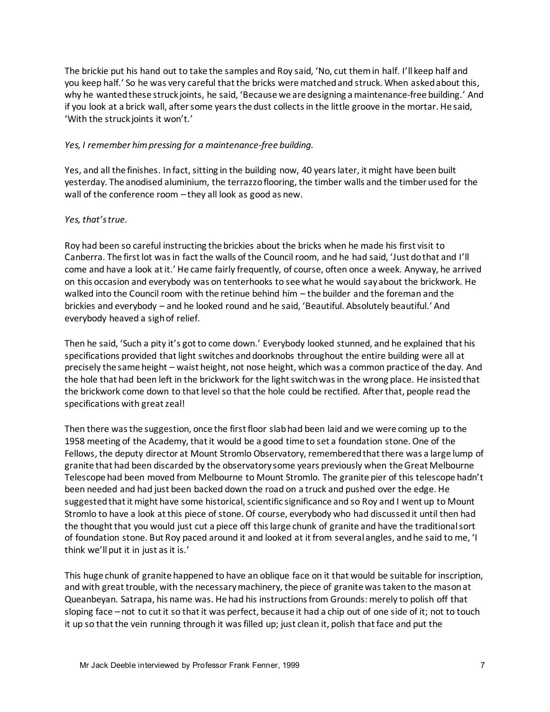The brickie put his hand out to take the samples and Roy said, 'No, cut them in half. I'll keep half and you keep half.' So he was very careful that the bricks were matched and struck. When asked about this, why he wanted these struck joints, he said, 'Because we are designing a maintenance-free building.' And if you look at a brick wall, after some years the dust collects in the little groove in the mortar. He said, 'With the struck joints it won't.'

#### *Yes, I remember him pressing for a maintenance-free building.*

Yes, and all the finishes. In fact, sitting in the building now, 40 years later, it might have been built yesterday. The anodised aluminium, the terrazzo flooring, the timber walls and the timber used for the wall of the conference room – they all look as good as new.

#### *Yes, that's true.*

Roy had been so careful instructing the brickies about the bricks when he made his first visit to Canberra. The first lot was in fact the walls of the Council room, and he had said, 'Just do that and I'll come and have a look at it.' He came fairly frequently, of course, often once a week. Anyway, he arrived on this occasion and everybody was on tenterhooks to see what he would say about the brickwork. He walked into the Council room with the retinue behind him – the builder and the foreman and the brickies and everybody – and he looked round and he said, 'Beautiful. Absolutely beautiful.' And everybody heaved a sigh of relief.

Then he said, 'Such a pity it's got to come down.' Everybody looked stunned, and he explained that his specifications provided that light switches and doorknobs throughout the entire building were all at precisely the same height – waist height, not nose height, which was a common practice of the day. And the hole that had been left in the brickwork for the light switch was in the wrong place. He insisted that the brickwork come down to that level so that the hole could be rectified. After that, people read the specifications with great zeal!

Then there was the suggestion, once the first floor slab had been laid and we were coming up to the 1958 meeting of the Academy, that it would be a good time to set a foundation stone. One of the Fellows, the deputy director at Mount Stromlo Observatory, remembered that there was a large lump of granite that had been discarded by the observatory some years previously when the Great Melbourne Telescope had been moved from Melbourne to Mount Stromlo. The granite pier of this telescope hadn't been needed and had just been backed down the road on a truck and pushed over the edge. He suggested that it might have some historical, scientific significance and so Roy and I went up to Mount Stromlo to have a look at this piece of stone. Of course, everybody who had discussed it until then had the thought that you would just cut a piece off this large chunk of granite and have the traditional sort of foundation stone. But Roy paced around it and looked at it from several angles, and he said to me, 'I think we'll put it in just as it is.'

This huge chunk of granite happened to have an oblique face on it that would be suitable for inscription, and with great trouble, with the necessary machinery, the piece of granite was taken to the mason at Queanbeyan. Satrapa, his name was. He had his instructions from Grounds: merely to polish off that sloping face – not to cut it so that it was perfect, because it had a chip out of one side of it; not to touch it up so that the vein running through it was filled up; just clean it, polish that face and put the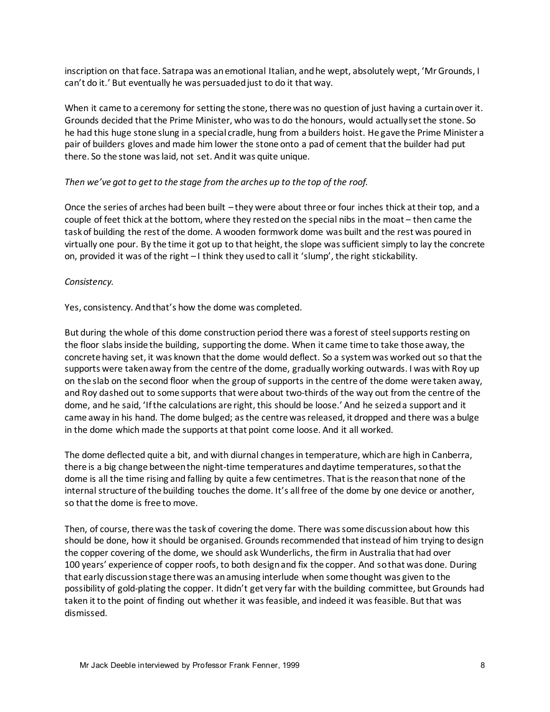inscription on that face. Satrapa was an emotional Italian, and he wept, absolutely wept, 'Mr Grounds, I can't do it.' But eventually he was persuaded just to do it that way.

When it came to a ceremony for setting the stone, there was no question of just having a curtain over it. Grounds decided that the Prime Minister, who was to do the honours, would actually set the stone. So he had this huge stone slung in a special cradle, hung from a builders hoist. He gave the Prime Minister a pair of builders gloves and made him lower the stone onto a pad of cement that the builder had put there. So the stone was laid, not set. And it was quite unique.

#### *Then we've got to get to the stage from the arches up to the top of the roof.*

Once the series of arches had been built – they were about three or four inches thick at their top, and a couple of feet thick at the bottom, where they rested on the special nibs in the moat – then came the task of building the rest of the dome. A wooden formwork dome was built and the rest was poured in virtually one pour. By the time it got up to that height, the slope was sufficient simply to lay the concrete on, provided it was of the right – I think they used to call it 'slump', the right stickability.

#### *Consistency.*

Yes, consistency. And that's how the dome was completed.

But during the whole of this dome construction period there was a forest of steel supports resting on the floor slabs inside the building, supporting the dome. When it came time to take those away, the concrete having set, it was known that the dome would deflect. So a system was worked out so that the supports were taken away from the centre of the dome, gradually working outwards. I was with Roy up on the slab on the second floor when the group of supports in the centre of the dome were taken away, and Roy dashed out to some supports that were about two-thirds of the way out from the centre of the dome, and he said, 'If the calculations are right, this should be loose.' And he seized a support and it came away in his hand. The dome bulged; as the centre was released, it dropped and there was a bulge in the dome which made the supports at that point come loose. And it all worked.

The dome deflected quite a bit, and with diurnal changes in temperature, which are high in Canberra, there is a big change between the night-time temperatures and daytime temperatures, so that the dome is all the time rising and falling by quite a few centimetres. That is the reason that none of the internal structure of the building touches the dome. It's all free of the dome by one device or another, so that the dome is free to move.

Then, of course, there was the task of covering the dome. There was some discussion about how this should be done, how it should be organised. Grounds recommended that instead of him trying to design the copper covering of the dome, we should ask Wunderlichs, the firm in Australia that had over 100 years' experience of copper roofs, to both design and fix the copper. And so that was done. During that early discussion stage there was an amusing interlude when some thought was given to the possibility of gold-plating the copper. It didn't get very far with the building committee, but Grounds had taken it to the point of finding out whether it was feasible, and indeed it was feasible. But that was dismissed.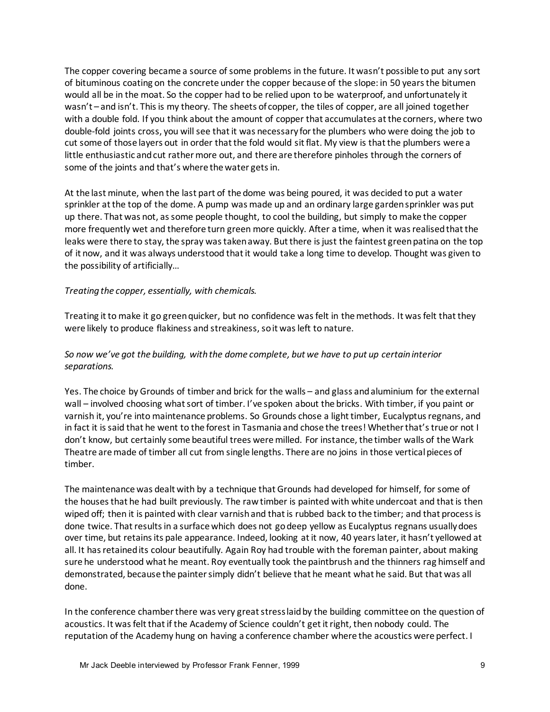The copper covering became a source of some problems in the future. It wasn't possible to put any sort of bituminous coating on the concrete under the copper because of the slope: in 50 years the bitumen would all be in the moat. So the copper had to be relied upon to be waterproof, and unfortunately it wasn't – and isn't. This is my theory. The sheets of copper, the tiles of copper, are all joined together with a double fold. If you think about the amount of copper that accumulates at the corners, where two double-fold joints cross, you will see that it was necessary for the plumbers who were doing the job to cut some of those layers out in order that the fold would sit flat. My view is that the plumbers were a little enthusiastic and cut rather more out, and there are therefore pinholes through the corners of some of the joints and that's where the water gets in.

At the last minute, when the last part of the dome was being poured, it was decided to put a water sprinkler at the top of the dome. A pump was made up and an ordinary large garden sprinkler was put up there. That was not, as some people thought, to cool the building, but simply to make the copper more frequently wet and therefore turn green more quickly. After a time, when it was realised that the leaks were there to stay, the spray was taken away. But there is just the faintest green patina on the top of it now, and it was always understood that it would take a long time to develop. Thought was given to the possibility of artificially…

#### *Treating the copper, essentially, with chemicals.*

Treating it to make it go green quicker, but no confidence was felt in the methods. It was felt that they were likely to produce flakiness and streakiness, so it was left to nature.

#### *So now we've got the building, with the dome complete, but we have to put up certain interior separations.*

Yes. The choice by Grounds of timber and brick for the walls – and glass and aluminium for the external wall – involved choosing what sort of timber. I've spoken about the bricks. With timber, if you paint or varnish it, you're into maintenance problems. So Grounds chose a light timber, Eucalyptus regnans, and in fact it is said that he went to the forest in Tasmania and chose the trees! Whether that's true or not I don't know, but certainly some beautiful trees were milled. For instance, the timber walls of the Wark Theatre are made of timber all cut from single lengths. There are no joins in those vertical pieces of timber.

The maintenance was dealt with by a technique that Grounds had developed for himself, for some of the houses that he had built previously. The raw timber is painted with white undercoat and that is then wiped off; then it is painted with clear varnish and that is rubbed back to the timber; and that process is done twice. That results in a surface which does not go deep yellow as Eucalyptus regnans usually does over time, but retains its pale appearance. Indeed, looking at it now, 40 years later, it hasn't yellowed at all. It has retained its colour beautifully. Again Roy had trouble with the foreman painter, about making sure he understood what he meant. Roy eventually took the paintbrush and the thinners rag himself and demonstrated, because the painter simply didn't believe that he meant what he said. But that was all done.

In the conference chamber there was very great stress laid by the building committee on the question of acoustics. It was felt that if the Academy of Science couldn't get it right, then nobody could. The reputation of the Academy hung on having a conference chamber where the acoustics were perfect. I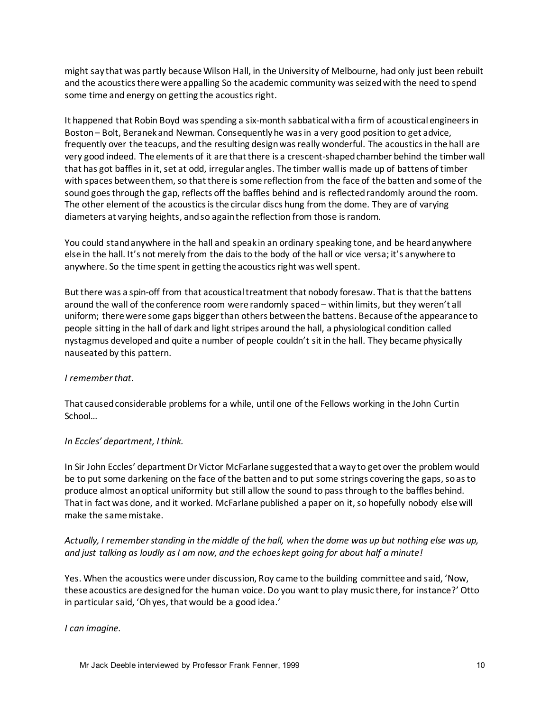might say that was partly because Wilson Hall, in the University of Melbourne, had only just been rebuilt and the acoustics there were appalling So the academic community was seized with the need to spend some time and energy on getting the acoustics right.

It happened that Robin Boyd was spending a six-month sabbatical with a firm of acoustical engineers in Boston – Bolt, Beranek and Newman. Consequently he was in a very good position to get advice, frequently over the teacups, and the resulting design was really wonderful. The acoustics in the hall are very good indeed. The elements of it are that there is a crescent-shaped chamber behind the timber wall that has got baffles in it, set at odd, irregular angles. The timber wall is made up of battens of timber with spaces between them, so that there is some reflection from the face of the batten and some of the sound goes through the gap, reflects off the baffles behind and is reflected randomly around the room. The other element of the acoustics is the circular discs hung from the dome. They are of varying diameters at varying heights, and so again the reflection from those is random.

You could stand anywhere in the hall and speak in an ordinary speaking tone, and be heard anywhere else in the hall. It's not merely from the dais to the body of the hall or vice versa; it's anywhere to anywhere. So the time spent in getting the acoustics right was well spent.

But there was a spin-off from that acoustical treatment that nobody foresaw. That is that the battens around the wall of the conference room were randomly spaced – within limits, but they weren't all uniform; there were some gaps bigger than others between the battens. Because of the appearance to people sitting in the hall of dark and light stripes around the hall, a physiological condition called nystagmus developed and quite a number of people couldn't sit in the hall. They became physically nauseated by this pattern.

#### *I remember that.*

That caused considerable problems for a while, until one of the Fellows working in the John Curtin School…

#### *In Eccles' department, I think.*

In Sir John Eccles' department Dr Victor McFarlane suggested that a way to get over the problem would be to put some darkening on the face of the batten and to put some strings covering the gaps, so as to produce almost an optical uniformity but still allow the sound to pass through to the baffles behind. That in fact was done, and it worked. McFarlane published a paper on it, so hopefully nobody else will make the same mistake.

*Actually, I remember standing in the middle of the hall, when the dome was up but nothing else was up, and just talking as loudly as I am now, and the echoes kept going for about half a minute!* 

Yes. When the acoustics were under discussion, Roy came to the building committee and said, 'Now, these acoustics are designed for the human voice. Do you want to play music there, for instance?' Otto in particular said, 'Oh yes, that would be a good idea.'

#### *I can imagine.*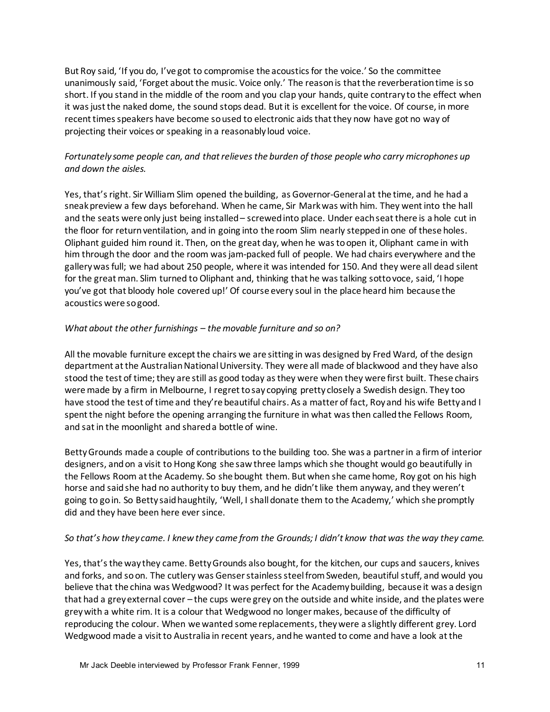But Roy said, 'If you do, I've got to compromise the acoustics for the voice.' So the committee unanimously said, 'Forget about the music. Voice only.' The reason is that the reverberation time is so short. If you stand in the middle of the room and you clap your hands, quite contrary to the effect when it was just the naked dome, the sound stops dead. But it is excellent for the voice. Of course, in more recent times speakers have become so used to electronic aids that they now have got no way of projecting their voices or speaking in a reasonably loud voice.

# *Fortunately some people can, and that relieves the burden of those people who carry microphones up and down the aisles.*

Yes, that's right. Sir William Slim opened the building, as Governor-General at the time, and he had a sneak preview a few days beforehand. When he came, Sir Mark was with him. They went into the hall and the seats were only just being installed – screwed into place. Under each seat there is a hole cut in the floor for return ventilation, and in going into the room Slim nearly stepped in one of these holes. Oliphant guided him round it. Then, on the great day, when he was to open it, Oliphant came in with him through the door and the room was jam-packed full of people. We had chairs everywhere and the gallery was full; we had about 250 people, where it was intended for 150. And they were all dead silent for the great man. Slim turned to Oliphant and, thinking that he was talking sotto voce, said, 'I hope you've got that bloody hole covered up!' Of course every soul in the place heard him because the acoustics were so good.

#### *What about the other furnishings – the movable furniture and so on?*

All the movable furniture except the chairs we are sitting in was designed by Fred Ward, of the design department at the Australian National University. They were all made of blackwood and they have also stood the test of time; they are still as good today as they were when they were first built. These chairs were made by a firm in Melbourne, I regret to say copying pretty closely a Swedish design. They too have stood the test of time and they're beautiful chairs. As a matter of fact, Roy and his wife Betty and I spent the night before the opening arranging the furniture in what was then called the Fellows Room, and sat in the moonlight and shared a bottle of wine.

Betty Grounds made a couple of contributions to the building too. She was a partner in a firm of interior designers, and on a visit to Hong Kong she saw three lamps which she thought would go beautifully in the Fellows Room at the Academy. So she bought them. But when she came home, Roy got on his high horse and said she had no authority to buy them, and he didn't like them anyway, and they weren't going to go in. So Betty said haughtily, 'Well, I shall donate them to the Academy,' which she promptly did and they have been here ever since.

#### *So that's how they came. I knew they came from the Grounds; I didn't know that was the way they came.*

Yes, that's the way they came. Betty Grounds also bought, for the kitchen, our cups and saucers, knives and forks, and so on. The cutlery was Genser stainless steel from Sweden, beautiful stuff, and would you believe that the china was Wedgwood? It was perfect for the Academy building, because it was a design that had a grey external cover – the cups were grey on the outside and white inside, and the plates were grey with a white rim. It is a colour that Wedgwood no longer makes, because of the difficulty of reproducing the colour. When we wanted some replacements, they were a slightly different grey. Lord Wedgwood made a visit to Australia in recent years, and he wanted to come and have a look at the